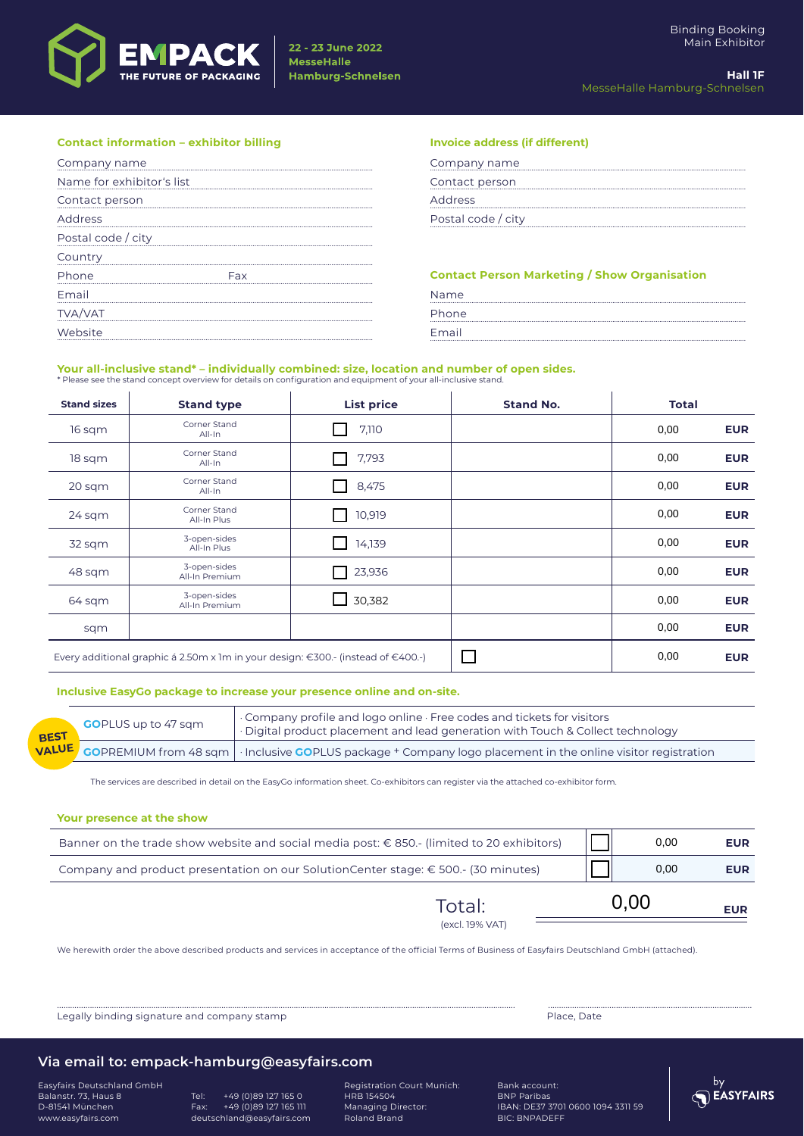

| <b>Contact information - exhibitor billing</b> | <b>Invoice address (if different)</b>               |
|------------------------------------------------|-----------------------------------------------------|
| Company name                                   | Company name                                        |
| Name for exhibitor's list                      | Contact person                                      |
| Contact person                                 | Address                                             |
| Address                                        | Postal code / city                                  |
| Postal code / city                             |                                                     |
| Country                                        |                                                     |
| Phone                                          | <b>Contact Person Marketing / Show Organisation</b> |
| Email                                          | Name                                                |
| <b>TVA/VAT</b>                                 | Phone                                               |
|                                                | Emai                                                |

## **Your all-inclusive stand\* – individually combined: size, location and number of open sides.**<br>\* Please see the stand concept overview for details on configuration and equipment of your all-inclusive stand.

**Stand sizes Stand type List price Stand No. Total** 16 sqm Corner Stand All-In 7,110 **EUR** 18 sqm Corner Stand All-In 7,793 **EUR** 20 sqm Corner Stand **All-In 8,475 EUR**<br>All-In 8,475 **EUR** 24 sqm Corner Stand<br>All-In Plus orier startu<br>All-In Plus **10,000 EUR**<br>All-In Plus 10,000 **EUR** 32 sqm 3-open-sides -openi-sides | ⊿ 14,139 | **All-In Plus 14,000 EUR**<br>All-In Plus 48 sqm 3-open-sides<br>All-In Premium - <sub>→</sub> Openisius and December 23,936<br>All-In Premium 2012 23,936 and December 2013 23,936 and December 2013 2014 2014 2014 64 sqm 3-open-sides<br>All-In Premium All-In Premium 30,382 **EUR** sqm **EUR** Every additional graphic á 2.50m x 1m in your design: €300.- (instead of €400.-) **EUR** 0,00 0,00 0,00 0,00 0,00 0,00 0,00 0,00 0,00

#### **Inclusive EasyGo package to increase your presence online and on-site.**

| <b>REST</b> | <b>GO</b> PLUS up to 47 sqm | Company profile and logo online · Free codes and tickets for visitors<br>· Digital product placement and lead generation with Touch & Collect technology |
|-------------|-----------------------------|----------------------------------------------------------------------------------------------------------------------------------------------------------|
|             |                             | <mark>VALU<sup>E  </sup> GO</mark> PREMIUM from 48 sqm │· Inclusive GOPLUS package + Company logo placement in the online visitor registration           |

The services are described in detail on the EasyGo information sheet. Co-exhibitors can register via the attached co-exhibitor form.

#### **Your presence at the show**

| (excl. 19% VAT)                                                                            |      |      |            |
|--------------------------------------------------------------------------------------------|------|------|------------|
| Total:                                                                                     | 0.00 |      | <b>EUR</b> |
| Company and product presentation on our SolutionCenter stage: € 500.- (30 minutes)         |      | 0,00 | <b>EUR</b> |
| Banner on the trade show website and social media post: € 850.- (limited to 20 exhibitors) |      | 0,00 | <b>EUR</b> |

................................................................................................................................................................................................................. .............................................................................................

We herewith order the above described products and services in acceptance of the official Terms of Business of Easyfairs Deutschland GmbH (attached).

Legally binding signature and company stamp **Place, Date and Company stamp** Place, Date

#### **Via email to: empack-hamburg@easyfairs.com**

Easyfairs Deutschland GmbH Balanstr. 73, Haus 8 D-81541 München www.easyfairs.com

Tel: +49 (0)89 127 165 0 Fax: +49 (0)89 127 165 111 deutschland@easyfairs.com Registration Court Munich: HRB 154504 Managing Director: Roland Brand

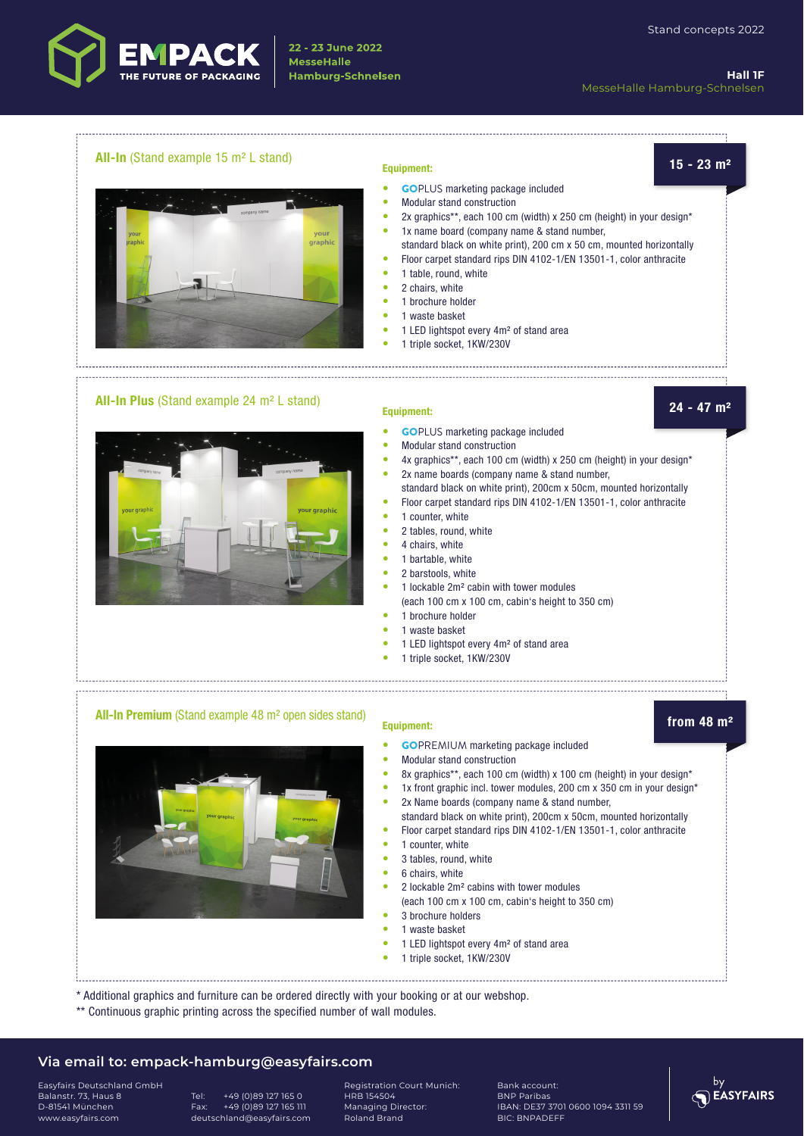

**Hall 1F** MesseHalle Hamburg-Schnelsen

## **All-In** (Stand example 15 m² L stand) **15 - 23 m² Equipment:**



- 
- GOPLUS marketing package included
- Modular stand construction
- 2x graphics\*\*, each 100 cm (width) x 250 cm (height) in your design\*
- 1x name board (company name & stand number, standard black on white print), 200 cm x 50 cm, mounted horizontally
- Floor carpet standard rips DIN 4102-1/EN 13501-1, color anthracite
- 1 table, round, white
- 2 chairs, white
- 1 brochure holder
- 1 waste basket
- 1 LED lightspot every 4m² of stand area

• GOPLUS marketing package included

• 1 triple socket, 1KW/230V

## **All-In Plus** (Stand example 24 m² L stand) **24 - 47 m² Equipment:**



- 
- Modular stand construction
- 4x graphics\*\*, each 100 cm (width) x 250 cm (height) in your design\* • 2x name boards (company name & stand number,
- standard black on white print), 200cm x 50cm, mounted horizontally
- Floor carpet standard rips DIN 4102-1/EN 13501-1, color anthracite
	- 1 counter, white
- 2 tables, round, white
- 4 chairs, white
- 1 bartable, white
- 2 barstools, white
- 1 lockable 2m² cabin with tower modules (each 100 cm x 100 cm, cabin's height to 350 cm)

• GOPREMIUM marketing package included

- 1 brochure holder
- 1 waste basket
- 1 LED lightspot every 4m² of stand area
- 1 triple socket, 1KW/230V

## **All-In Premium** (Stand example 48 m<sup>2</sup> open sides stand) **from 48 m<sup>2</sup> from 48 m<sup>2</sup>**

by<br>EASYFAIRS



- 8x graphics\*\*, each 100 cm (width) x 100 cm (height) in your design\* • 1x front graphic incl. tower modules, 200 cm x 350 cm in your design\*
- 2x Name boards (company name & stand number,
- standard black on white print), 200cm x 50cm, mounted horizontally • Floor carpet standard rips DIN 4102-1/EN 13501-1, color anthracite
- 1 counter, white
- 3 tables, round, white
- 6 chairs, white
- 2 lockable 2m² cabins with tower modules
- (each 100 cm x 100 cm, cabin's height to 350 cm)
- 3 brochure holders
- 1 waste basket
- 1 LED lightspot every 4m² of stand area
- 1 triple socket, 1KW/230V
- \* Additional graphics and furniture can be ordered directly with your booking or at our webshop.
- \*\* Continuous graphic printing across the specified number of wall modules.

#### **Via email to: empack-hamburg@easyfairs.com**

Easyfairs Deutschland GmbH Balanstr. 73, Haus 8 D-81541 München www.easyfairs.com

Tel: +49 (0)89 127 165 0 Fax: +49 (0)89 127 165 111 deutschland@easyfairs.com Registration Court Munich: HRB 154504 Managing Director: Roland Brand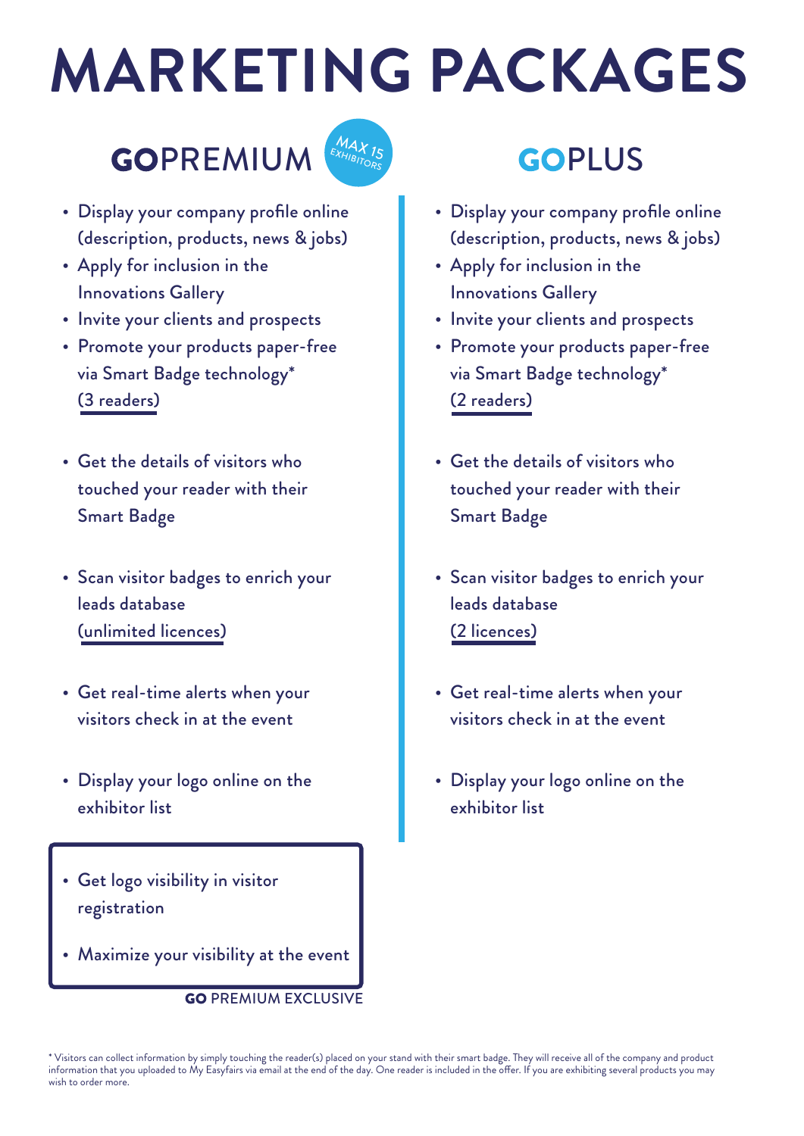# **MARKETING PACKAGES**

# GOPREMIUM



- Display your company profile online (description, products, news & jobs)
- Apply for inclusion in the Innovations Gallery
- Invite your clients and prospects
- Promote your products paper-free via Smart Badge technology\* (3 readers)
- Get the details of visitors who touched your reader with their Smart Badge
- Scan visitor badges to enrich your leads database (unlimited licences)
- Get real-time alerts when your visitors check in at the event
- Display your logo online on the exhibitor list
- Get logo visibility in visitor registration
- Maximize your visibility at the event

**GO PREMIUM EXCLUSIVE** 

## GOPLUS

- Display your company profile online (description, products, news & jobs)
- Apply for inclusion in the Innovations Gallery
- Invite your clients and prospects
- Promote your products paper-free via Smart Badge technology\* (2 readers)
- Get the details of visitors who touched your reader with their Smart Badge
- Scan visitor badges to enrich your leads database (2 licences)
- Get real-time alerts when your visitors check in at the event
- Display your logo online on the exhibitor list

\* Visitors can collect information by simply touching the reader(s) placed on your stand with their smart badge. They will receive all of the company and product information that you uploaded to My Easyfairs via email at the end of the day. One reader is included in the offer. If you are exhibiting several products you may wish to order more.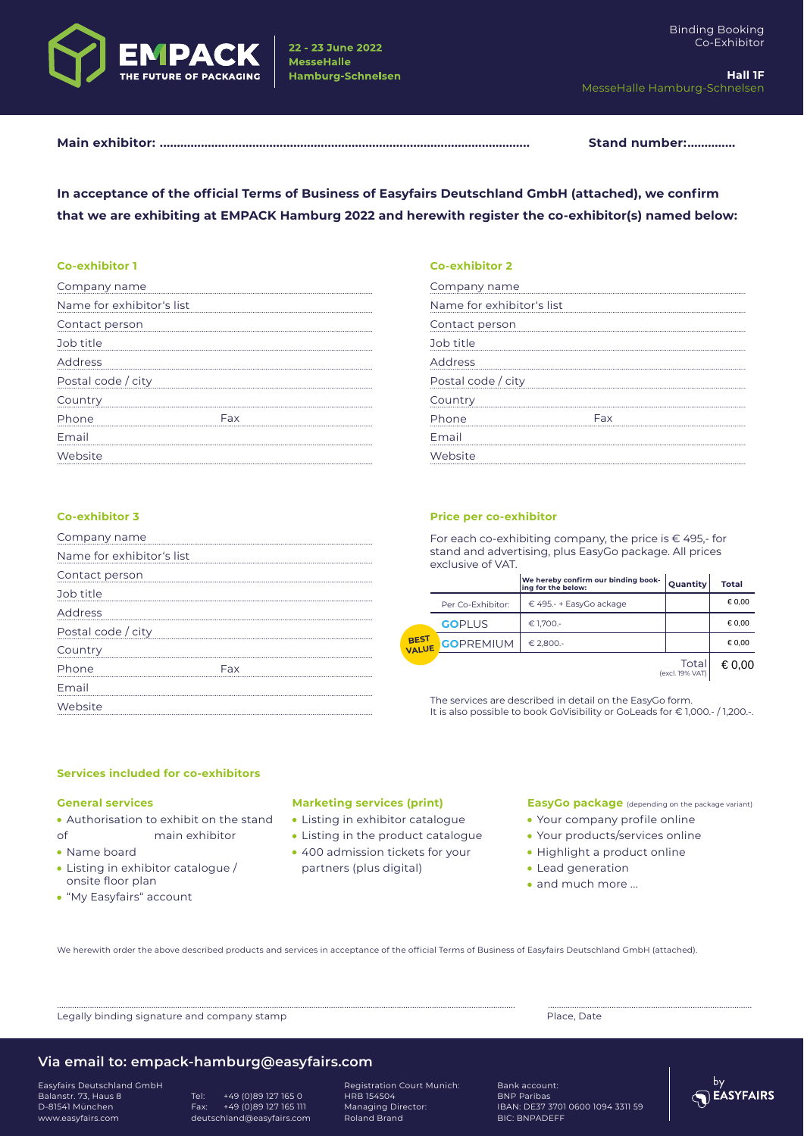

22 - 23 June 2022 **MesseHalle** 

**Hamburg-Schnelsen** 

Stand number:..............

In acceptance of the official Terms of Business of Easyfairs Deutschland GmbH (attached), we confirm that we are exhibiting at EMPACK Hamburg 2022 and herewith register the co-exhibitor(s) named below:

#### **Co-exhibitor 1**

| Company name              |  |
|---------------------------|--|
| Name for exhibitor's list |  |
| Contact person            |  |
| Job title                 |  |
| Address                   |  |
| Postal code / city        |  |
| Country                   |  |
| Phone                     |  |
| Email                     |  |
| Website                   |  |

#### Co-exhibitor 3

| Company name              |  |
|---------------------------|--|
| Name for exhibitor's list |  |
| Contact person            |  |
| Job title                 |  |
| Address                   |  |
| Postal code / city        |  |
| Country                   |  |
| Phone                     |  |
| Email                     |  |
| Website                   |  |

#### **Co-exhibitor 2**

| Company name              |            |
|---------------------------|------------|
| Name for exhibitor's list |            |
| Contact person            |            |
| Job title                 |            |
| Address                   |            |
| Postal code / city        |            |
| Country                   |            |
| Phone                     | <b>Eax</b> |
| Email                     |            |
| Website                   |            |
|                           |            |

#### **Price per co-exhibitor**

For each co-exhibiting company, the price is €495,-for stand and advertising, plus EasyGo package. All prices exclusive of VAT.

|               |                   | We hereby confirm our binding book-<br>ing for the below: | Quantity                 | Total  |
|---------------|-------------------|-----------------------------------------------------------|--------------------------|--------|
| BEST<br>VALUE | Per Co-Exhibitor: | € 495.- + EasyGo ackage                                   |                          | € 0,00 |
|               | <b>GOPLUS</b>     | € 1,700.-                                                 |                          | € 0,00 |
|               | <b>GOPREMIUM</b>  | € 2.800.-                                                 |                          | € 0.00 |
|               |                   |                                                           | Total<br>(excl. 19% VAT) | € 0,00 |

The services are described in detail on the EasyGo form. It is also possible to book GoVisibility or GoLeads for €1,000.-/1,200.-.

#### Services included for co-exhibitors

#### **General services**

. Authorisation to exhibit on the stand  $\Omega$ f main exhibitor

- Name board
- Listing in exhibitor catalogue / onsite floor plan
- · "My Easyfairs" account

#### **Marketing services (print)**

- Listing in exhibitor catalogue
- Listing in the product catalogue
- 400 admission tickets for your partners (plus digital)

#### EasyGo package (depending on the package variant)

- Your company profile online
- Your products/services online
- · Highlight a product online
- Lead generation
- · and much more ...

We herewith order the above described products and services in acceptance of the official Terms of Business of Easyfairs Deutschland GmbH (attached).

Legally binding signature and company stamp

Place Date

### Via email to: empack-hamburg@easyfairs.com

**Fasyfairs Deutschland GmbH** Balanstr. 73, Haus 8<br>D-81541 München www.easyfairs.com

Tel:  $+49(0)891271650$ +49 (0)89 127 165 111 Fax: deutschland@easyfairs.com

Registration Court Munich: HRB 154504 Managing Director: Roland Brand

Bank account: **BNP Paribas** 

IBAN: DE37 3701 0600 1094 3311 59 BIC: BNPADEFF

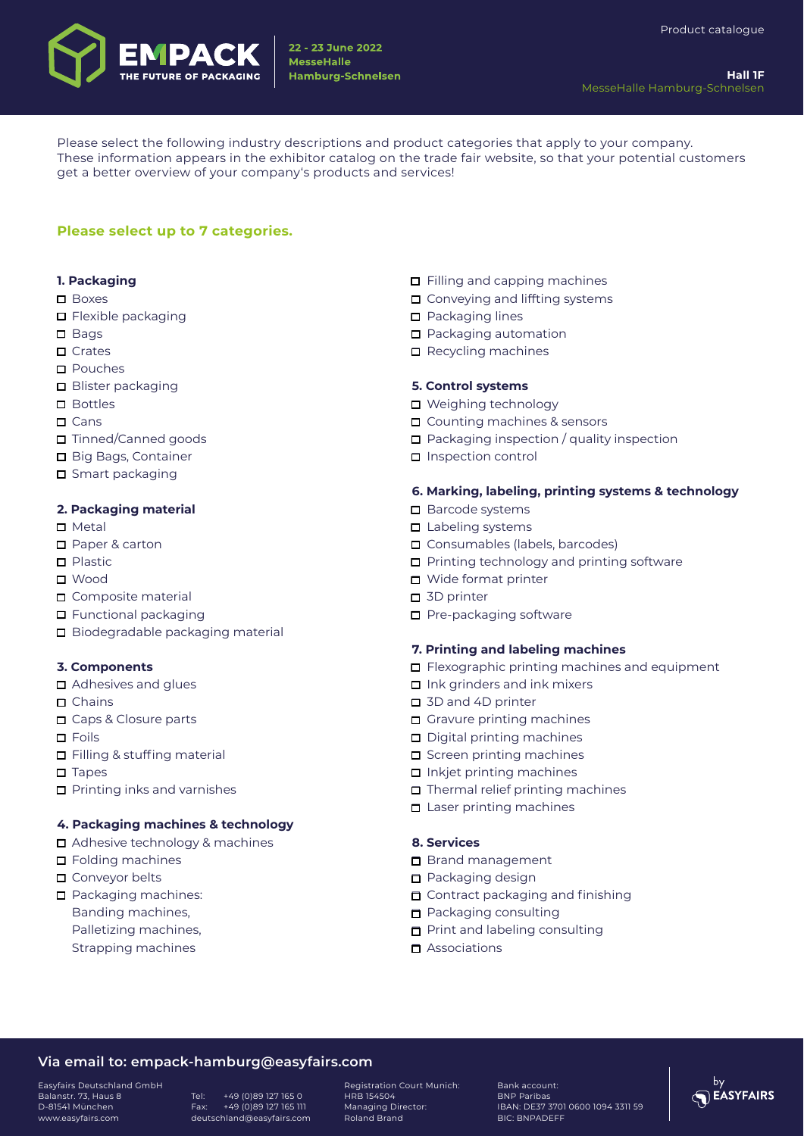

Please select the following industry descriptions and product categories that apply to your company. These information appears in the exhibitor catalog on the trade fair website, so that your potential customers get a better overview of your company's products and services!

#### **Please select up to 7 categories.**

#### **1. Packaging**

- □ Boxes
- $\Box$  Flexible packaging
- $\Box$  Bags
- $\Box$  Crates
- Pouches
- **□** Blister packaging
- □ Bottles
- $\Box$  Cans
- □ Tinned/Canned goods
- Big Bags, Container
- **□** Smart packaging

#### **2. Packaging material**

- $\square$  Metal
- □ Paper & carton
- $\Box$  Plastic
- Wood
- Composite material
- $\Box$  Functional packaging
- Biodegradable packaging material

#### **3. Components**

- **□** Adhesives and glues
- $\Box$  Chains
- □ Caps & Closure parts
- □ Foils
- $\Box$  Filling & stuffing material
- $\square$  Tapes
- $\Box$  Printing inks and varnishes

#### **4. Packaging machines & technology**

- Adhesive technology & machines
- □ Folding machines
- □ Conveyor belts
- $\Box$  Packaging machines:
- Banding machines,
- Palletizing machines, Strapping machines
- $\Box$  Filling and capping machines  $\Box$  Conveying and liffting systems
- **D** Packaging lines
- □ Packaging automation
- $\Box$  Recycling machines

#### **5. Control systems**

- Weighing technology
- □ Counting machines & sensors
- $\Box$  Packaging inspection / quality inspection
- □ Inspection control

#### **6. Marking, labeling, printing systems & technology**

- Barcode systems
- $\Box$  Labeling systems
- □ Consumables (labels, barcodes)
- $\Box$  Printing technology and printing software
- Wide format printer
- 3D printer
- $\Box$  Pre-packaging software

#### **7. Printing and labeling machines**

- $\Box$  Flexographic printing machines and equipment
- $\Box$  Ink grinders and ink mixers
- □ 3D and 4D printer
- Gravure printing machines
- $\Box$  Digital printing machines
- $\Box$  Screen printing machines
- $\Box$  Inkjet printing machines
- $\Box$  Thermal relief printing machines
- $\Box$  Laser printing machines

#### **8. Services**

- Brand management
- **Packaging design**
- Contract packaging and finishing
- **n** Packaging consulting
- **Print and labeling consulting**
- $\blacksquare$  Associations

#### **Via email to: empack-hamburg@easyfairs.com**

Easyfairs Deutschland GmbH Balanstr. 73, Haus 8 D-81541 München www.easyfairs.com

Tel: +49 (0)89 127 165 0 Fax: +49 (0)89 127 165 111 deutschland@easyfairs.com Registration Court Munich: HRB 154504 Managing Director: Roland Brand

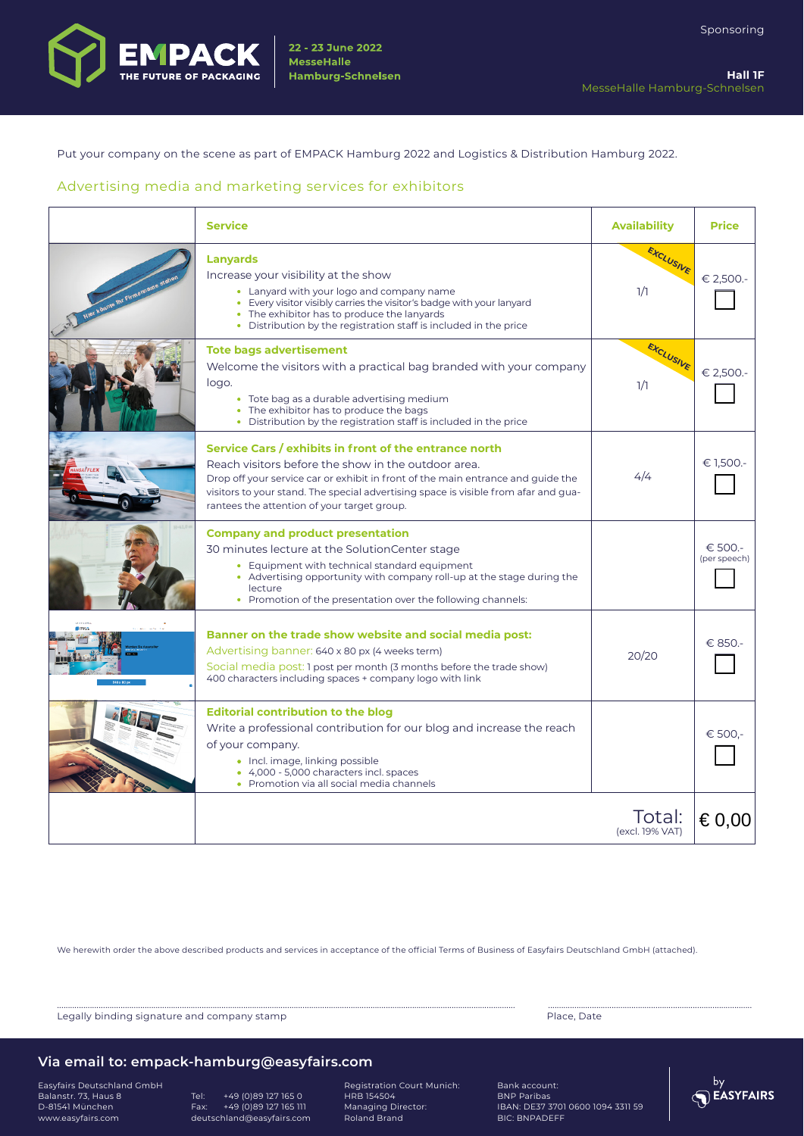

Put your company on the scene as part of EMPACK Hamburg 2022 and Logistics & Distribution Hamburg 2022.

#### Advertising media and marketing services for exhibitors

|                        | <b>Service</b>                                                                                                                                                                                                                                                                                                                          | <b>Availability</b>       | <b>Price</b>            |
|------------------------|-----------------------------------------------------------------------------------------------------------------------------------------------------------------------------------------------------------------------------------------------------------------------------------------------------------------------------------------|---------------------------|-------------------------|
| Hier könnte ihr Firmer | <b>Lanyards</b><br>Increase your visibility at the show<br>• Lanyard with your logo and company name<br>• Every visitor visibly carries the visitor's badge with your lanyard<br>• The exhibitor has to produce the lanyards<br>• Distribution by the registration staff is included in the price                                       | EXCLUSIVE<br>1/1          | € 2,500 .-              |
|                        | <b>Tote bags advertisement</b><br>Welcome the visitors with a practical bag branded with your company<br>logo.<br>• Tote bag as a durable advertising medium<br>• The exhibitor has to produce the bags<br>• Distribution by the registration staff is included in the price                                                            | EXCLUSIVE<br>1/1          | € 2,500.-               |
|                        | Service Cars / exhibits in front of the entrance north<br>Reach visitors before the show in the outdoor area.<br>Drop off your service car or exhibit in front of the main entrance and guide the<br>visitors to your stand. The special advertising space is visible from afar and gua-<br>rantees the attention of your target group. | 4/4                       | € 1,500.-               |
|                        | <b>Company and product presentation</b><br>30 minutes lecture at the SolutionCenter stage<br>• Equipment with technical standard equipment<br>• Advertising opportunity with company roll-up at the stage during the<br>lecture<br>• Promotion of the presentation over the following channels:                                         |                           | € 500.-<br>(per speech) |
|                        | Banner on the trade show website and social media post:<br>Advertising banner: 640 x 80 px (4 weeks term)<br>Social media post: 1 post per month (3 months before the trade show)<br>400 characters including spaces + company logo with link                                                                                           | 20/20                     | € 850.                  |
|                        | <b>Editorial contribution to the blog</b><br>Write a professional contribution for our blog and increase the reach<br>of your company.<br>• Incl. image, linking possible<br>• 4,000 - 5,000 characters incl. spaces<br>• Promotion via all social media channels                                                                       |                           | € 500.-                 |
|                        |                                                                                                                                                                                                                                                                                                                                         | Total:<br>(excl. 19% VAT) | € 0,00                  |

We herewith order the above described products and services in acceptance of the official Terms of Business of Easyfairs Deutschland GmbH (attached).

Legally binding signature and company stamp **Place, Date of the State of the State Australian** Place, Date

................................................................................................................................................................................................................. .............................................................................................

#### **Via email to: empack-hamburg@easyfairs.com**

Easyfairs Deutschland GmbH Balanstr. 73, Haus 8 D-81541 München www.easyfairs.com

Tel: +49 (0)89 127 165 0 Fax: +49 (0)89 127 165 111 deutschland@easyfairs.com

Registration Court Munich: HRB 154504 Managing Director: Roland Brand

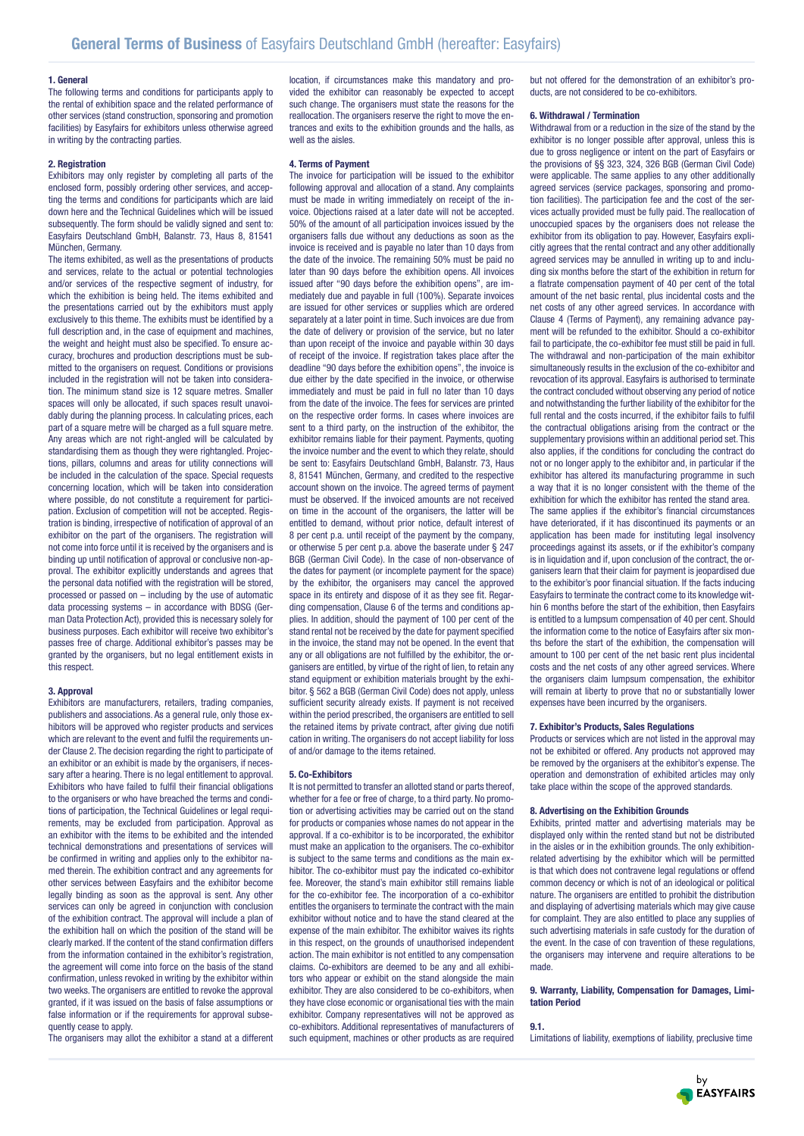#### **1. General**

The following terms and conditions for participants apply to the rental of exhibition space and the related performance of other services (stand construction, sponsoring and promotion facilities) by Easyfairs for exhibitors unless otherwise agreed in writing by the contracting parties.

#### **2. Registration**

Exhibitors may only register by completing all parts of the enclosed form, possibly ordering other services, and accepting the terms and conditions for participants which are laid down here and the Technical Guidelines which will be issued subsequently. The form should be validly signed and sent to: Easyfairs Deutschland GmbH, Balanstr. 73, Haus 8, 81541 München, Germany.

The items exhibited, as well as the presentations of products and services, relate to the actual or potential technologies and/or services of the respective segment of industry, for which the exhibition is being held. The items exhibited and the presentations carried out by the exhibitors must apply exclusively to this theme. The exhibits must be identified by a full description and, in the case of equipment and machines. the weight and height must also be specified. To ensure accuracy, brochures and production descriptions must be submitted to the organisers on request. Conditions or provisions included in the registration will not be taken into consideration. The minimum stand size is 12 square metres. Smaller spaces will only be allocated, if such spaces result unavoidably during the planning process. In calculating prices, each part of a square metre will be charged as a full square metre. Any areas which are not right-angled will be calculated by standardising them as though they were rightangled. Projections, pillars, columns and areas for utility connections will be included in the calculation of the space. Special requests concerning location, which will be taken into consideration where possible, do not constitute a requirement for participation. Exclusion of competition will not be accepted. Registration is binding, irrespective of notification of approval of an exhibitor on the part of the organisers. The registration will not come into force until it is received by the organisers and is binding up until notification of approval or conclusive non-approval. The exhibitor explicitly understands and agrees that the personal data notified with the registration will be stored, processed or passed on – including by the use of automatic data processing systems – in accordance with BDSG (German Data Protection Act), provided this is necessary solely for business purposes. Each exhibitor will receive two exhibitor's passes free of charge. Additional exhibitor's passes may be granted by the organisers, but no legal entitlement exists in this respect.

#### **3. Approval**

Exhibitors are manufacturers, retailers, trading companies, publishers and associations. As a general rule, only those exhibitors will be approved who register products and services which are relevant to the event and fulfil the requirements under Clause 2. The decision regarding the right to participate of an exhibitor or an exhibit is made by the organisers, if necessary after a hearing. There is no legal entitlement to approval. Exhibitors who have failed to fulfil their financial obligations to the organisers or who have breached the terms and conditions of participation, the Technical Guidelines or legal requirements, may be excluded from participation. Approval as an exhibitor with the items to be exhibited and the intended technical demonstrations and presentations of services will be confirmed in writing and applies only to the exhibitor named therein. The exhibition contract and any agreements for other services between Easyfairs and the exhibitor become legally binding as soon as the approval is sent. Any other services can only be agreed in conjunction with conclusion of the exhibition contract. The approval will include a plan of the exhibition hall on which the position of the stand will be clearly marked. If the content of the stand confirmation differs from the information contained in the exhibitor's registration, the agreement will come into force on the basis of the stand confirmation, unless revoked in writing by the exhibitor within two weeks. The organisers are entitled to revoke the approval granted, if it was issued on the basis of false assumptions or false information or if the requirements for approval subsequently cease to apply.

The organisers may allot the exhibitor a stand at a different

location, if circumstances make this mandatory and provided the exhibitor can reasonably be expected to accept such change. The organisers must state the reasons for the reallocation. The organisers reserve the right to move the entrances and exits to the exhibition grounds and the halls, as well as the aisles.

#### **4. Terms of Payment**

The invoice for participation will be issued to the exhibitor following approval and allocation of a stand. Any complaints must be made in writing immediately on receipt of the invoice. Objections raised at a later date will not be accepted. 50% of the amount of all participation invoices issued by the organisers falls due without any deductions as soon as the invoice is received and is payable no later than 10 days from the date of the invoice. The remaining 50% must be paid no later than 90 days before the exhibition opens. All invoices issued after "90 days before the exhibition opens", are immediately due and payable in full (100%). Separate invoices are issued for other services or supplies which are ordered separately at a later point in time. Such invoices are due from the date of delivery or provision of the service, but no later than upon receipt of the invoice and payable within 30 days of receipt of the invoice. If registration takes place after the deadline "90 days before the exhibition opens", the invoice is due either by the date specified in the invoice, or otherwise immediately and must be paid in full no later than 10 days from the date of the invoice. The fees for services are printed on the respective order forms. In cases where invoices are sent to a third party, on the instruction of the exhibitor, the exhibitor remains liable for their payment. Payments, quoting the invoice number and the event to which they relate, should be sent to: Easyfairs Deutschland GmbH, Balanstr. 73, Haus 8, 81541 München, Germany, and credited to the respective account shown on the invoice. The agreed terms of payment must be observed. If the invoiced amounts are not received on time in the account of the organisers, the latter will be entitled to demand, without prior notice, default interest of 8 per cent p.a. until receipt of the payment by the company, or otherwise 5 per cent p.a. above the baserate under § 247 BGB (German Civil Code). In the case of non-observance of the dates for payment (or incomplete payment for the space) by the exhibitor, the organisers may cancel the approved space in its entirety and dispose of it as they see fit. Regarding compensation, Clause 6 of the terms and conditions applies. In addition, should the payment of 100 per cent of the stand rental not be received by the date for payment specified in the invoice, the stand may not be opened. In the event that any or all obligations are not fulfilled by the exhibitor, the organisers are entitled, by virtue of the right of lien, to retain any stand equipment or exhibition materials brought by the exhibitor. § 562 a BGB (German Civil Code) does not apply, unless sufficient security already exists. If payment is not received within the period prescribed, the organisers are entitled to sell the retained items by private contract, after giving due notifi cation in writing. The organisers do not accept liability for loss of and/or damage to the items retained.

#### **5. Co-Exhibitors**

It is not permitted to transfer an allotted stand or parts thereof, whether for a fee or free of charge, to a third party. No promotion or advertising activities may be carried out on the stand for products or companies whose names do not appear in the approval. If a co-exhibitor is to be incorporated, the exhibitor must make an application to the organisers. The co-exhibitor is subject to the same terms and conditions as the main exhibitor. The co-exhibitor must pay the indicated co-exhibitor fee. Moreover, the stand's main exhibitor still remains liable for the co-exhibitor fee. The incorporation of a co-exhibitor entitles the organisers to terminate the contract with the main exhibitor without notice and to have the stand cleared at the expense of the main exhibitor. The exhibitor waives its rights in this respect, on the grounds of unauthorised independent action. The main exhibitor is not entitled to any compensation claims. Co-exhibitors are deemed to be any and all exhibitors who appear or exhibit on the stand alongside the main exhibitor. They are also considered to be co-exhibitors, when they have close economic or organisational ties with the main exhibitor. Company representatives will not be approved as co-exhibitors. Additional representatives of manufacturers of such equipment, machines or other products as are required

but not offered for the demonstration of an exhibitor's products, are not considered to be co-exhibitors.

#### **6. Withdrawal / Termination**

Withdrawal from or a reduction in the size of the stand by the exhibitor is no longer possible after approval, unless this is due to gross negligence or intent on the part of Easyfairs or the provisions of §§ 323, 324, 326 BGB (German Civil Code) were applicable. The same applies to any other additionally agreed services (service packages, sponsoring and promotion facilities). The participation fee and the cost of the services actually provided must be fully paid. The reallocation of unoccupied spaces by the organisers does not release the exhibitor from its obligation to pay. However, Easyfairs explicitly agrees that the rental contract and any other additionally agreed services may be annulled in writing up to and including six months before the start of the exhibition in return for a flatrate compensation payment of 40 per cent of the total amount of the net basic rental, plus incidental costs and the net costs of any other agreed services. In accordance with Clause 4 (Terms of Payment), any remaining advance payment will be refunded to the exhibitor. Should a co-exhibitor fail to participate, the co-exhibitor fee must still be paid in full. The withdrawal and non-participation of the main exhibitor simultaneously results in the exclusion of the co-exhibitor and revocation of its approval. Easyfairs is authorised to terminate the contract concluded without observing any period of notice and notwithstanding the further liability of the exhibitor for the full rental and the costs incurred, if the exhibitor fails to fulfil the contractual obligations arising from the contract or the supplementary provisions within an additional period set. This also applies, if the conditions for concluding the contract do not or no longer apply to the exhibitor and, in particular if the exhibitor has altered its manufacturing programme in such a way that it is no longer consistent with the theme of the exhibition for which the exhibitor has rented the stand area. The same applies if the exhibitor's financial circumstances have deteriorated, if it has discontinued its payments or an application has been made for instituting legal insolvency proceedings against its assets, or if the exhibitor's company is in liquidation and if, upon conclusion of the contract, the organisers learn that their claim for payment is jeopardised due to the exhibitor's poor financial situation. If the facts inducing Easyfairs to terminate the contract come to its knowledge within 6 months before the start of the exhibition, then Easyfairs is entitled to a lumpsum compensation of 40 per cent. Should the information come to the notice of Easyfairs after six months before the start of the exhibition, the compensation will amount to 100 per cent of the net basic rent plus incidental costs and the net costs of any other agreed services. Where the organisers claim lumpsum compensation, the exhibitor will remain at liberty to prove that no or substantially lower expenses have been incurred by the organisers.

#### **7. Exhibitor's Products, Sales Regulations**

Products or services which are not listed in the approval may not be exhibited or offered. Any products not approved may be removed by the organisers at the exhibitor's expense. The operation and demonstration of exhibited articles may only take place within the scope of the approved standards.

#### **8. Advertising on the Exhibition Grounds**

Exhibits, printed matter and advertising materials may be displayed only within the rented stand but not be distributed in the aisles or in the exhibition grounds. The only exhibitionrelated advertising by the exhibitor which will be permitted is that which does not contravene legal regulations or offend common decency or which is not of an ideological or political nature. The organisers are entitled to prohibit the distribution and displaying of advertising materials which may give cause for complaint. They are also entitled to place any supplies of such advertising materials in safe custody for the duration of the event. In the case of con travention of these regulations, the organisers may intervene and require alterations to be made.

#### **9. Warranty, Liability, Compensation for Damages, Limitation Period**

**9.1.**

Limitations of liability, exemptions of liability, preclusive time